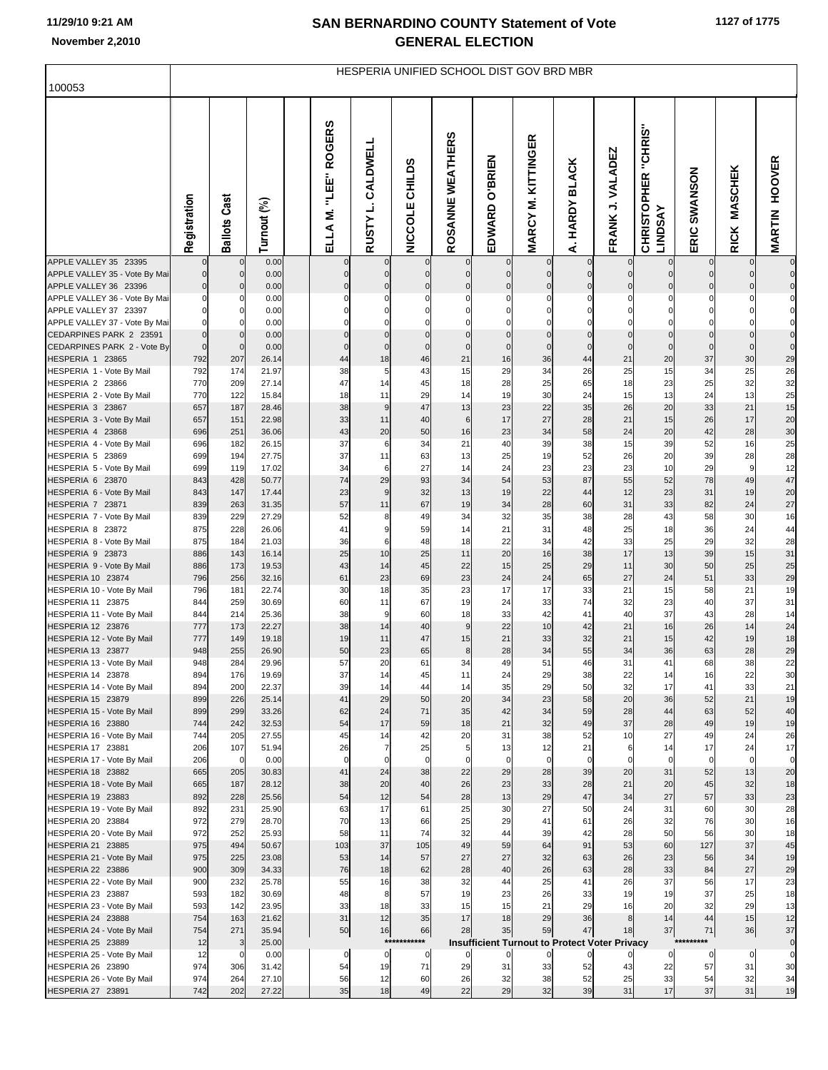# **11/29/10 9:21 AM**

F

|                                                          |              |                            |                |                         |                                  |                          |                            | HESPERIA UNIFIED SCHOOL DIST GOV BRD MBR             |                              |                            |                         |                                                 |                                  |                               |                        |
|----------------------------------------------------------|--------------|----------------------------|----------------|-------------------------|----------------------------------|--------------------------|----------------------------|------------------------------------------------------|------------------------------|----------------------------|-------------------------|-------------------------------------------------|----------------------------------|-------------------------------|------------------------|
| 100053                                                   |              |                            |                |                         |                                  |                          |                            |                                                      |                              |                            |                         |                                                 |                                  |                               |                        |
|                                                          | Registration | <b>Ballots Cast</b>        | Turnout (%)    | ELLA M. 'LEE' ROGERS    | CALDWELL<br>RUSTY L.             | NICCOLE CHILDS           | ဖာ<br>ROSANNE WEATHER      | EDWARD O'BRIEN                                       | KITTINGER<br><b>MARCY M.</b> | <b>HARDY BLACK</b><br>∢    | FRANK J. VALADEZ        | "CHRIS"<br><b>CHRISTOPHER</b><br><b>LINDSAY</b> | SWANSON<br>ERIC                  | <b>MASCHEK</b><br><b>RICK</b> | <b>MARTIN HOOVER</b>   |
| APPLE VALLEY 35 23395                                    |              | 0                          | 0.00           |                         | $\mathbf 0$                      | $\pmb{0}$                |                            |                                                      |                              | $\mathbf 0$                |                         |                                                 |                                  |                               | $\pmb{0}$              |
| APPLE VALLEY 35 - Vote By Mai<br>APPLE VALLEY 36 23396   | 0            | $\pmb{0}$<br>$\pmb{0}$     | 0.00<br>0.00   | $\Omega$<br>$\mathbf 0$ | $\overline{0}$<br>$\overline{0}$ | $\mathbf 0$<br>$\pmb{0}$ | $\mathbf 0$<br>$\pmb{0}$   | $\mathbf 0$<br>$\pmb{0}$                             | $\mathbf 0$<br>$\mathbf 0$   | $\mathbf 0$<br>$\pmb{0}$   | $\Omega$<br>$\mathbf 0$ | 0<br>0                                          | $\overline{0}$<br>$\overline{0}$ | $\Omega$<br>$\Omega$          | $\pmb{0}$<br>$\pmb{0}$ |
| APPLE VALLEY 36 - Vote By Mai                            |              | 0                          | 0.00           |                         | 0                                | $\mathbf 0$              | $\mathbf 0$                | $\mathbf 0$                                          | $\Omega$                     | $\Omega$                   |                         |                                                 | $\Omega$                         |                               | 0                      |
| APPLE VALLEY 37 23397                                    |              | $\mathbf 0$                | 0.00           |                         | 0                                | $\mathbf 0$              | $\mathbf 0$                | 0                                                    | 0                            | 0                          | $\Omega$                |                                                 |                                  |                               | 0                      |
| APPLE VALLEY 37 - Vote By Mai<br>CEDARPINES PARK 2 23591 | $\Omega$     | $\mathbf 0$<br>$\mathbf 0$ | 0.00<br>0.00   |                         | 0<br>$\overline{0}$              | $\mathbf 0$<br>$\pmb{0}$ | $\mathbf 0$<br>$\mathbf 0$ | $\mathbf 0$<br>$\mathbf 0$                           | $\Omega$<br>$\mathbf 0$      | $\mathbf 0$<br>$\mathbf 0$ | $\Omega$<br>$\mathbf 0$ | $\mathbf 0$                                     | $\mathbf 0$                      | $\Omega$                      | 0<br>$\bf 0$           |
| CEDARPINES PARK 2 - Vote By                              | $\mathbf 0$  | $\mathbf 0$                | 0.00           | $\Omega$                | $\mathbf 0$                      | $\pmb{0}$                | $\mathbf 0$                | $\mathbf 0$                                          | $\mathbf 0$                  | $\mathbf 0$                | $\overline{0}$          | $\mathbf 0$                                     | $\mathbf 0$                      | $\mathbf{0}$                  | $\mathbf 0$            |
| HESPERIA 1 23865                                         | 792          | 207                        | 26.14          | 44                      | 18                               | 46                       | 21                         | 16                                                   | 36                           | 44                         | 21                      | 20                                              | 37                               | 30                            | 29                     |
| HESPERIA 1 - Vote By Mail<br>HESPERIA 2 23866            | 792<br>770   | 174<br>209                 | 21.97<br>27.14 | 38<br>47                | 5<br>14                          | 43<br>45                 | 15<br>18                   | 29<br>28                                             | 34<br>25                     | 26<br>65                   | 25<br>18                | 15<br>23                                        | 34<br>25                         | 25<br>32                      | 26<br>32               |
| HESPERIA 2 - Vote By Mail                                | 770          | 122                        | 15.84          | 18                      | 11                               | 29                       | 14                         | 19                                                   | 30                           | 24                         | 15                      | 13                                              | 24                               | 13                            | 25                     |
| HESPERIA 3 23867                                         | 657          | 187                        | 28.46          | 38                      | 9                                | 47                       | 13                         | 23                                                   | 22                           | 35                         | 26                      | 20                                              | 33                               | 21                            | 15                     |
| HESPERIA 3 - Vote By Mail                                | 657          | 151                        | 22.98          | 33                      | 11                               | 40                       | $\,6$                      | 17                                                   | 27                           | 28                         | 21                      | 15                                              | 26                               | 17                            | 20                     |
| HESPERIA 4 23868<br>HESPERIA 4 - Vote By Mail            | 696<br>696   | 251<br>182                 | 36.06<br>26.15 | 43<br>37                | 20<br>6                          | 50<br>34                 | 16<br>21                   | 23<br>40                                             | 34<br>39                     | 58<br>38                   | 24<br>15                | 20<br>39                                        | 42<br>52                         | 28<br>16                      | 30<br>25               |
| HESPERIA 5 23869                                         | 699          | 194                        | 27.75          | 37                      | 11                               | 63                       | 13                         | 25                                                   | 19                           | 52                         | 26                      | 20                                              | 39                               | 28                            | 28                     |
| HESPERIA 5 - Vote By Mail                                | 699          | 119                        | 17.02          | 34                      | 6                                | 27                       | 14                         | 24                                                   | 23                           | 23                         | 23                      | 10                                              | 29                               | 9                             | 12                     |
| HESPERIA 6 23870                                         | 843          | 428<br>147                 | 50.77          | 74                      | 29                               | 93                       | 34                         | 54                                                   | 53                           | 87                         | 55<br>12                | 52                                              | 78<br>31                         | 49                            | 47                     |
| HESPERIA 6 - Vote By Mail<br>HESPERIA 7 23871            | 843<br>839   | 263                        | 17.44<br>31.35 | 23<br>57                | 9<br>11                          | 32<br>67                 | 13<br>19                   | 19<br>34                                             | 22<br>28                     | 44<br>60                   | 31                      | 23<br>33                                        | 82                               | 19<br>24                      | 20<br>27               |
| HESPERIA 7 - Vote By Mail                                | 839          | 229                        | 27.29          | 52                      | 8                                | 49                       | 34                         | 32                                                   | 35                           | 38                         | 28                      | 43                                              | 58                               | 30                            | 16                     |
| HESPERIA 8 23872                                         | 875          | 228                        | 26.06          | 41                      | 9                                | 59                       | 14                         | 21                                                   | 31                           | 48                         | 25                      | 18                                              | 36                               | 24                            | 44                     |
| HESPERIA 8 - Vote By Mail<br>HESPERIA 9 23873            | 875<br>886   | 184<br>143                 | 21.03<br>16.14 | 36<br>25                | 6<br>10                          | 48<br>25                 | 18<br>11                   | 22<br>20                                             | 34<br>16                     | 42<br>38                   | 33<br>17                | 25<br>13                                        | 29<br>39                         | 32<br>15                      | 28<br>31               |
| HESPERIA 9 - Vote By Mail                                | 886          | 173                        | 19.53          | 43                      | 14                               | 45                       | 22                         | 15                                                   | 25                           | 29                         | 11                      | 30                                              | 50                               | 25                            | 25                     |
| HESPERIA 10 23874                                        | 796          | 256                        | 32.16          | 61                      | 23                               | 69                       | 23                         | 24                                                   | 24                           | 65                         | 27                      | 24                                              | 51                               | 33                            | 29                     |
| HESPERIA 10 - Vote By Mail                               | 796          | 181                        | 22.74          | 30                      | 18                               | 35                       | 23                         | 17                                                   | 17                           | 33                         | 21                      | 15                                              | 58                               | 21                            | 19                     |
| HESPERIA 11 23875                                        | 844<br>844   | 259<br>214                 | 30.69<br>25.36 | 60<br>38                | 11<br>9                          | 67<br>60                 | 19<br>18                   | 24<br>33                                             | 33<br>42                     | 74<br>41                   | 32<br>40                | 23<br>37                                        | 40<br>43                         | 37<br>28                      | 31<br>14               |
| HESPERIA 11 - Vote By Mail<br>HESPERIA 12 23876          | 777          | 173                        | 22.27          | 38                      | 14                               | 40                       | 9                          | 22                                                   | 10                           | 42                         | 21                      | 16                                              | 26                               | 14                            | 24                     |
| HESPERIA 12 - Vote By Mail                               | 777          | 149                        | 19.18          | 19                      | 11                               | 47                       | 15                         | 21                                                   | 33                           | 32                         | 21                      | 15                                              | 42                               | 19                            | 18                     |
| HESPERIA 13 23877                                        | 948          | 255                        | 26.90          | 50                      | 23                               | 65                       | 8                          | 28                                                   | 34                           | 55                         | 34                      | 36                                              | 63                               | 28                            | 29                     |
| HESPERIA 13 - Vote By Mail<br>HESPERIA 14 23878          | 948<br>894   | 284<br>176                 | 29.96<br>19.69 | 57<br>37                | 20<br>14                         | 61<br>45                 | 34<br>11                   | 49<br>24                                             | 51<br>29                     | 46<br>38                   | 31<br>22                | 41<br>14                                        | 68<br>16                         | 38<br>22                      | 22<br>30               |
| HESPERIA 14 - Vote By Mail                               | 894          | 200                        | 22.37          | 39                      | 14                               | 44                       | 14                         | 35                                                   | 29                           | 50                         | 32                      | 17                                              | 41                               | 33                            | 21                     |
| HESPERIA 15 23879                                        | 899          | 226                        | 25.14          | 41                      | 29                               | 50                       | 20                         | 34                                                   | 23                           | 58                         | 20                      | 36                                              | 52                               | 21                            | 19                     |
| HESPERIA 15 - Vote By Mail                               | 899          | 299                        | 33.26          | 62                      | 24                               | 71                       | 35                         | 42                                                   | 34                           | 59                         | 28                      | 44                                              | 63                               | 52                            | 40                     |
| HESPERIA 16 23880<br>HESPERIA 16 - Vote By Mail          | 744<br>744   | 242<br>205                 | 32.53<br>27.55 | 54<br>45                | 17<br>14                         | 59<br>42                 | 18<br>20                   | 21<br>31                                             | 32<br>38                     | 49<br>52                   | 37<br>10                | 28<br>27                                        | 49<br>49                         | 19<br>24                      | 19<br>26               |
| HESPERIA 17 23881                                        | 206          | 107                        | 51.94          | 26                      | 7                                | 25                       | 5                          | 13                                                   | 12                           | 21                         | 6                       | 14                                              | 17                               | 24                            | 17                     |
| HESPERIA 17 - Vote By Mail                               | 206          | $\mathbf 0$                | 0.00           | $\mathbf 0$             | $\mathbf 0$                      | $\mathbf 0$              | $\mathbf 0$                | $\mathbf 0$                                          | $\mathbf 0$                  | $\mathbf 0$                | $\mathbf 0$             | $\mathbf 0$                                     | $\mathbf 0$                      | $\mathbf 0$                   | $\mathbf 0$            |
| HESPERIA 18 23882<br>HESPERIA 18 - Vote By Mail          | 665<br>665   | 205<br>187                 | 30.83<br>28.12 | 41<br>38                | 24<br>20                         | 38<br>40                 | 22<br>26                   | 29<br>23                                             | 28<br>33                     | 39<br>28                   | 20<br>21                | 31<br>20                                        | 52<br>45                         | 13<br>32                      | 20<br>18               |
| HESPERIA 19 23883                                        | 892          | 228                        | 25.56          | 54                      | 12                               | 54                       | 28                         | 13                                                   | 29                           | 47                         | 34                      | 27                                              | 57                               | 33                            | 23                     |
| HESPERIA 19 - Vote By Mail                               | 892          | 231                        | 25.90          | 63                      | 17                               | 61                       | 25                         | 30                                                   | 27                           | 50                         | 24                      | 31                                              | 60                               | 30                            | 28                     |
| HESPERIA 20 23884                                        | 972          | 279                        | 28.70          | 70                      | 13                               | 66                       | 25                         | 29                                                   | 41                           | 61                         | 26                      | 32                                              | 76                               | 30                            | 16                     |
| HESPERIA 20 - Vote By Mail<br>HESPERIA 21 23885          | 972<br>975   | 252<br>494                 | 25.93<br>50.67 | 58<br>103               | 11<br>37                         | 74<br>105                | 32<br>49                   | 44<br>59                                             | 39<br>64                     | 42<br>91                   | 28<br>53                | 50<br>60                                        | 56<br>127                        | 30<br>37                      | 18<br>45               |
| HESPERIA 21 - Vote By Mail                               | 975          | 225                        | 23.08          | 53                      | 14                               | 57                       | 27                         | 27                                                   | 32                           | 63                         | 26                      | 23                                              | 56                               | 34                            | 19                     |
| HESPERIA 22 23886                                        | 900          | 309                        | 34.33          | 76                      | 18                               | 62                       | 28                         | 40                                                   | 26                           | 63                         | 28                      | 33                                              | 84                               | 27                            | 29                     |
| HESPERIA 22 - Vote By Mail                               | 900          | 232                        | 25.78          | 55                      | 16                               | 38                       | 32                         | 44                                                   | 25                           | 41                         | 26                      | 37                                              | 56                               | 17                            | 23                     |
| HESPERIA 23 23887<br>HESPERIA 23 - Vote By Mail          | 593<br>593   | 182<br>142                 | 30.69<br>23.95 | 48<br>33                | 8<br>18                          | 57<br>33                 | 19<br>15                   | 23<br>15                                             | 26<br>21                     | 33<br>29                   | 19<br>16                | 19<br>20                                        | 37<br>32                         | 25<br>29                      | 18<br>13               |
| HESPERIA 24 23888                                        | 754          | 163                        | 21.62          | 31                      | 12                               | 35                       | 17                         | 18                                                   | 29                           | 36                         | 8                       | 14                                              | 44                               | 15                            | 12                     |
| HESPERIA 24 - Vote By Mail                               | 754          | 271                        | 35.94          | 50                      | 16                               | 66                       | 28                         | 35                                                   | 59                           | 47                         | 18                      | 37                                              | 71                               | 36                            | 37                     |
| HESPERIA 25 23889                                        | 12           | 3                          | 25.00          |                         | ****                             | *******                  |                            | <b>Insufficient Turnout to Protect Voter Privacy</b> |                              |                            |                         |                                                 | ****:                            |                               | $\pmb{0}$              |
| HESPERIA 25 - Vote By Mail<br>HESPERIA 26 23890          | 12<br>974    | $\mathbf 0$<br>306         | 0.00<br>31.42  | 0<br>54                 | $\overline{0}$<br>19             | 0<br>71                  | 29                         | $\Omega$<br>31                                       | $\mathbf 0$<br>33            | $\mathbf 0$<br>52          | 43                      | 0<br>22                                         | $\overline{0}$<br>57             | $\mathbf 0$<br>31             | $\mathbf 0$<br>30      |
| HESPERIA 26 - Vote By Mail                               | 974          | 264                        | 27.10          | 56                      | 12                               | 60                       | 26                         | 32                                                   | 38                           | 52                         | 25                      | 33                                              | 54                               | 32                            | 34                     |
| HESPERIA 27 23891                                        | 742          | 202                        | 27.22          | 35                      | 18                               | 49                       | 22                         | 29                                                   | 32                           | 39                         | 31                      | 17                                              | 37                               | 31                            | 19                     |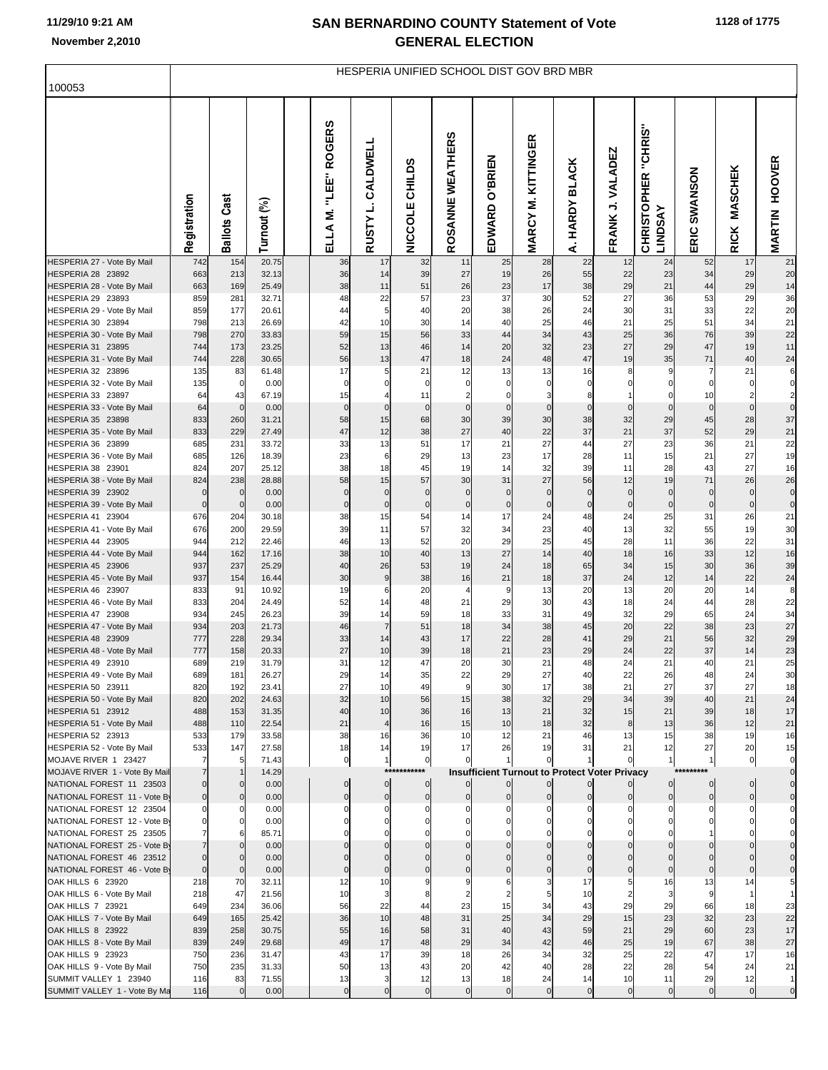|                                                          |                         |                     |                |                                        |                               |                            |                               | HESPERIA UNIFIED SCHOOL DIST GOV BRD MBR             |                              |                         |                             |                                                 |                   |                               |                                  |
|----------------------------------------------------------|-------------------------|---------------------|----------------|----------------------------------------|-------------------------------|----------------------------|-------------------------------|------------------------------------------------------|------------------------------|-------------------------|-----------------------------|-------------------------------------------------|-------------------|-------------------------------|----------------------------------|
| 100053                                                   |                         |                     |                |                                        |                               |                            |                               |                                                      |                              |                         |                             |                                                 |                   |                               |                                  |
|                                                          | Registration            | <b>Ballots Cast</b> | Turnout (%)    | <b>ROGERS</b><br>i<br>EE:<br>Ż<br>ELLA | CALDWELL<br>RUSTY L.          | NICCOLE CHILDS             | n<br>ROSANNE WEATHER          | O'BRIEN<br>EDWARD                                    | KITTINGER<br><b>MARCY M.</b> | <b>HARDY BLACK</b><br>خ | FRANK J. VALADEZ            | "CHRIS"<br><b>CHRISTOPHER</b><br><b>LINDSAY</b> | SWANSON<br>ERIC   | <b>MASCHEK</b><br><b>RICK</b> | <b>MARTIN HOOVER</b>             |
| HESPERIA 27 - Vote By Mail<br>HESPERIA 28 23892          | 742<br>663              | 154<br>213          | 20.75<br>32.13 | 36<br>36                               | 17<br>14                      | 32<br>39                   | 11<br>27                      | 25<br>19                                             | 28<br>26                     | 22<br>55                | 12<br>22                    | 24<br>23                                        | 52<br>34          | 17<br>29                      | 21<br>20                         |
| HESPERIA 28 - Vote By Mail                               | 663                     | 169                 | 25.49          | 38                                     | 11                            | 51                         | 26                            | 23                                                   | 17                           | 38                      | 29                          | 21                                              | 44                | 29                            | 14                               |
| HESPERIA 29 23893                                        | 859                     | 281                 | 32.71          | 48                                     | 22                            | 57                         | 23                            | 37                                                   | 30                           | 52                      | 27                          | 36                                              | 53                | 29                            | 36                               |
| HESPERIA 29 - Vote By Mail                               | 859                     | 177                 | 20.61          | 44                                     | 5                             | 40                         | 20                            | 38                                                   | 26                           | 24                      | 30                          | 31                                              | 33                | 22                            | 20                               |
| HESPERIA 30 23894<br>HESPERIA 30 - Vote By Mail          | 798<br>798              | 213<br>270          | 26.69<br>33.83 | 42<br>59                               | 10<br>15                      | 30<br>56                   | 14<br>33                      | 40<br>44                                             | 25<br>34                     | 46<br>43                | 21<br>25                    | 25<br>36                                        | 51<br>76          | 34<br>39                      | 21<br>22                         |
| HESPERIA 31 23895                                        | 744                     | 173                 | 23.25          | 52                                     | 13                            | 46                         | 14                            | 20                                                   | 32                           | 23                      | 27                          | 29                                              | 47                | 19                            | 11                               |
| HESPERIA 31 - Vote By Mail                               | 744                     | 228                 | 30.65          | 56                                     | 13                            | 47                         | 18                            | 24                                                   | 48                           | 47                      | 19                          | 35                                              | 71                | 40                            | 24                               |
| HESPERIA 32 23896                                        | 135                     | 83                  | 61.48          | 17                                     | 5                             | 21                         | 12                            | 13                                                   | 13                           | 16                      | 8                           | 9                                               | $\overline{7}$    | 21                            | 6                                |
| HESPERIA 32 - Vote By Mail                               | 135                     | $\mathbf 0$         | 0.00           | $\mathbf 0$                            | $\mathbf 0$                   | $\mathbf 0$                | $\mathbf 0$                   | $\mathbf 0$                                          | $\mathbf 0$                  | $\mathbf 0$             | 0                           | $\Omega$                                        | $\mathbf 0$       | $\mathbf 0$                   | $\overline{0}$                   |
| HESPERIA 33 23897<br>HESPERIA 33 - Vote By Mail          | 64<br>64                | 43<br>$\mathbf{0}$  | 67.19<br>0.00  | 15<br>$\mathbf 0$                      | $\overline{a}$<br>$\mathbf 0$ | 11<br>$\mathbf 0$          | $\overline{2}$<br>$\mathbf 0$ | $\mathbf 0$<br>$\mathbf 0$                           | 3<br>$\mathbf 0$             | 8<br>$\mathbf 0$        | $\mathbf{1}$<br>$\mathbf 0$ | $\mathbf 0$<br>$\mathbf 0$                      | 10<br>$\mathbf 0$ | $\overline{2}$<br>$\mathbf 0$ | $\overline{2}$<br>$\overline{0}$ |
| HESPERIA 35 23898                                        | 833                     | 260                 | 31.21          | 58                                     | 15                            | 68                         | 30                            | 39                                                   | 30                           | 38                      | 32                          | 29                                              | 45                | 28                            | 37                               |
| HESPERIA 35 - Vote By Mail                               | 833                     | 229                 | 27.49          | 47                                     | 12                            | 38                         | 27                            | 40                                                   | 22                           | 37                      | 21                          | 37                                              | 52                | 29                            | $21$                             |
| HESPERIA 36 23899                                        | 685                     | 231                 | 33.72          | 33                                     | 13                            | 51                         | 17                            | 21                                                   | 27                           | 44                      | 27                          | 23                                              | 36                | 21                            | 22                               |
| HESPERIA 36 - Vote By Mail<br>HESPERIA 38 23901          | 685<br>824              | 126<br>207          | 18.39<br>25.12 | 23<br>38                               | 6<br>18                       | 29<br>45                   | 13<br>19                      | 23<br>14                                             | 17<br>32                     | 28<br>39                | 11<br>11                    | 15<br>28                                        | 21<br>43          | 27<br>27                      | 19<br>16                         |
| HESPERIA 38 - Vote By Mail                               | 824                     | 238                 | 28.88          | 58                                     | 15                            | 57                         | 30                            | 31                                                   | 27                           | 56                      | 12                          | 19                                              | 71                | 26                            | 26                               |
| HESPERIA 39 23902                                        | $\mathbf 0$             | $\mathbf 0$         | 0.00           | $\mathbf 0$                            | $\mathbf 0$                   | $\mathbf 0$                | $\mathbf 0$                   | $\mathbf 0$                                          | $\Omega$                     | $\mathbf 0$             | $\mathbf 0$                 | $\overline{0}$                                  | $\mathbf 0$       | $\mathbf 0$                   | $\overline{0}$                   |
| HESPERIA 39 - Vote By Mail                               | $\mathbf 0$             | $\mathbf 0$         | 0.00           | $\pmb{0}$                              | $\pmb{0}$                     | $\pmb{0}$                  | $\pmb{0}$                     | $\pmb{0}$                                            | $\mathbf 0$                  | $\mathbf 0$             | $\mathbf 0$                 | $\mathbf 0$                                     | $\mathbf 0$       | $\pmb{0}$                     | $\overline{0}$                   |
| HESPERIA 41 23904                                        | 676                     | 204                 | 30.18          | 38                                     | 15                            | 54                         | 14                            | 17                                                   | 24                           | 48                      | 24                          | 25                                              | 31                | 26                            | 21                               |
| HESPERIA 41 - Vote By Mail<br>HESPERIA 44 23905          | 676<br>944              | 200<br>212          | 29.59<br>22.46 | 39<br>46                               | 11<br>13                      | 57<br>52                   | 32<br>20                      | 34<br>29                                             | 23<br>25                     | 40<br>45                | 13<br>28                    | 32<br>11                                        | 55<br>36          | 19<br>22                      | 30<br>31                         |
| HESPERIA 44 - Vote By Mail                               | 944                     | 162                 | 17.16          | 38                                     | 10                            | 40                         | 13                            | 27                                                   | 14                           | 40                      | 18                          | 16                                              | 33                | 12                            | 16                               |
| HESPERIA 45 23906                                        | 937                     | 237                 | 25.29          | 40                                     | 26                            | 53                         | 19                            | 24                                                   | 18                           | 65                      | 34                          | 15                                              | 30                | 36                            | 39                               |
| HESPERIA 45 - Vote By Mail                               | 937                     | 154                 | 16.44          | 30                                     | $\boldsymbol{9}$              | 38                         | 16                            | 21                                                   | 18                           | 37                      | 24                          | 12                                              | 14                | 22                            | 24                               |
| HESPERIA 46 23907                                        | 833                     | 91                  | 10.92          | 19                                     | 6                             | 20                         | 4                             | 9                                                    | 13                           | 20                      | 13                          | 20                                              | 20                | 14                            | 8                                |
| HESPERIA 46 - Vote By Mail<br>HESPERIA 47 23908          | 833<br>934              | 204<br>245          | 24.49<br>26.23 | 52<br>39                               | 14<br>14                      | 48<br>59                   | 21<br>18                      | 29<br>33                                             | 30<br>31                     | 43<br>49                | 18<br>32                    | 24<br>29                                        | 44<br>65          | 28<br>24                      | 22<br>34                         |
| HESPERIA 47 - Vote By Mail                               | 934                     | 203                 | 21.73          | 46                                     | $\overline{7}$                | 51                         | 18                            | 34                                                   | 38                           | 45                      | 20                          | 22                                              | 38                | 23                            | 27                               |
| HESPERIA 48 23909                                        | 777                     | 228                 | 29.34          | 33                                     | 14                            | 43                         | 17                            | 22                                                   | 28                           | 41                      | 29                          | 21                                              | 56                | 32                            | 29                               |
| HESPERIA 48 - Vote By Mail                               | 777                     | 158                 | 20.33          | 27                                     | 10                            | 39                         | 18                            | 21                                                   | 23                           | 29                      | 24                          | 22                                              | 37                | 14                            | 23                               |
| HESPERIA 49 23910                                        | 689                     | 219                 | 31.79          | 31                                     | 12                            | 47                         | 20                            | 30                                                   | 21                           | 48                      | 24                          | 21                                              | 40                | 21                            | 25                               |
| HESPERIA 49 - Vote By Mail<br>HESPERIA 50 23911          | 689<br>820              | 181<br>192          | 26.27<br>23.41 | 29<br>27                               | 14<br>10                      | 35<br>49                   | 22<br>$\overline{9}$          | 29<br>30                                             | 27<br>17                     | 40<br>38                | 22<br>21                    | 26<br>27                                        | 48<br>37          | 24<br>27                      | 30<br>18                         |
| HESPERIA 50 - Vote By Mail                               | 820                     | 202                 | 24.63          | 32                                     | 10                            | 56                         | 15                            | 38                                                   | 32                           | 29                      | 34                          | 39                                              | 40                | 21                            | 24                               |
| HESPERIA 51 23912                                        | 488                     | 153                 | 31.35          | 40                                     | 10                            | 36                         | 16                            | 13                                                   | 21                           | 32                      | 15                          | 21                                              | 39                | 18                            | 17                               |
| HESPERIA 51 - Vote By Mail                               | 488                     | 110                 | 22.54          | 21                                     | $\overline{4}$                | 16                         | 15                            | 10                                                   | 18                           | 32                      | 8                           | 13                                              | 36                | 12                            | 21                               |
| HESPERIA 52 23913<br>HESPERIA 52 - Vote By Mail          | 533<br>533              | 179<br>147          | 33.58<br>27.58 | 38<br>18                               | 16<br>14                      | 36<br>19                   | 10<br>17                      | 12<br>26                                             | 21<br>19                     | 46<br>31                | 13<br>21                    | 15<br>12                                        | 38<br>27          | 19<br>20                      | 16<br>15                         |
| MOJAVE RIVER 1 23427                                     | $\overline{7}$          | 5                   | 71.43          | $\overline{0}$                         | 1                             | $\overline{0}$             | $\Omega$                      |                                                      | $\mathbf 0$                  |                         | $\overline{0}$              |                                                 | $\mathbf{1}$      | $\overline{0}$                | $\overline{0}$                   |
| MOJAVE RIVER 1 - Vote By Mail                            | $\overline{7}$          |                     | 14.29          |                                        | $***$                         |                            |                               | <b>Insufficient Turnout to Protect Voter Privacy</b> |                              |                         |                             |                                                 |                   |                               | $\overline{0}$                   |
| NATIONAL FOREST 11 23503                                 | $\Omega$                | $\mathbf 0$         | 0.00           | $\overline{0}$                         | $\overline{0}$                | $\overline{0}$             |                               |                                                      |                              |                         |                             | $\overline{0}$                                  | $\overline{0}$    | $\overline{0}$                | $\overline{0}$                   |
| NATIONAL FOREST 11 - Vote By                             | $\mathbf 0$<br>$\Omega$ | $\mathbf 0$         | 0.00<br>0.00   | $\mathbf 0$<br>$\Omega$                | $\overline{0}$<br>0           | $\overline{0}$<br>$\Omega$ | $\mathbf{0}$<br>C             | $\Omega$                                             |                              | $\mathbf{0}$            | $\Omega$                    | $\overline{0}$                                  | $\overline{0}$    | $\overline{0}$                | $\overline{0}$                   |
| NATIONAL FOREST 12 23504<br>NATIONAL FOREST 12 - Vote By | $\Omega$                |                     | 0.00           |                                        | 0                             | $\Omega$                   |                               |                                                      |                              |                         |                             |                                                 |                   |                               |                                  |
| NATIONAL FOREST 25 23505                                 |                         |                     | 85.71          |                                        | $\Omega$                      | $\Omega$                   |                               |                                                      |                              |                         |                             |                                                 |                   |                               |                                  |
| NATIONAL FOREST 25 - Vote By                             |                         | $\Omega$            | 0.00           |                                        | $\mathbf 0$                   |                            |                               |                                                      |                              |                         |                             |                                                 |                   |                               | 이                                |
| NATIONAL FOREST 46 23512                                 | $\mathbf 0$             |                     | 0.00           | $\Omega$                               | $\mathbf 0$                   | $\Omega$                   |                               |                                                      |                              |                         |                             |                                                 |                   |                               |                                  |
| NATIONAL FOREST 46 - Vote By<br>OAK HILLS 6 23920        | $\mathbf 0$<br>218      | $\mathbf 0$<br>70   | 0.00<br>32.11  | $\mathbf 0$<br>12                      | $\mathbf 0$<br>10             | $\mathbf 0$<br>9           | 9                             | 6                                                    | 3                            | $\Omega$<br>17          | $\mathbf{0}$<br>5           | $\Omega$<br>16                                  | $\mathbf 0$<br>13 | 14                            | $\overline{0}$                   |
| OAK HILLS 6 - Vote By Mail                               | 218                     | 47                  | 21.56          | 10                                     | $\mathbf{3}$                  | 8                          | 2                             | $\overline{2}$                                       | 5                            | 10                      |                             | 3                                               | 9                 | -1                            |                                  |
| OAK HILLS 7 23921                                        | 649                     | 234                 | 36.06          | 56                                     | 22                            | 44                         | 23                            | 15                                                   | 34                           | 43                      | 29                          | 29                                              | 66                | 18                            | 23                               |
| OAK HILLS 7 - Vote By Mail                               | 649                     | 165                 | 25.42          | 36                                     | 10                            | 48                         | 31                            | 25                                                   | 34                           | 29                      | 15                          | 23                                              | 32                | 23                            | 22                               |
| OAK HILLS 8 23922                                        | 839                     | 258                 | 30.75          | 55                                     | 16                            | 58                         | 31                            | 40                                                   | 43                           | 59                      | 21                          | 29                                              | 60                | 23                            | 17                               |
| OAK HILLS 8 - Vote By Mail<br>OAK HILLS 9 23923          | 839<br>750              | 249<br>236          | 29.68<br>31.47 | 49<br>43                               | 17<br>17                      | 48<br>39                   | 29<br>18                      | 34<br>26                                             | 42<br>34                     | 46<br>32                | 25<br>25                    | 19<br>22                                        | 67<br>47          | 38<br>17                      | 27<br>16                         |
| OAK HILLS 9 - Vote By Mail                               | 750                     | 235                 | 31.33          | 50                                     | 13                            | 43                         | 20                            | 42                                                   | 40                           | 28                      | 22                          | 28                                              | 54                | 24                            | 21                               |
| SUMMIT VALLEY 1 23940                                    | 116                     | 83                  | 71.55          | 13                                     | $\overline{\mathbf{3}}$       | 12                         | 13                            | 18                                                   | 24                           | 14                      | 10                          | 11                                              | 29                | 12                            | $\vert$ 1                        |
| SUMMIT VALLEY 1 - Vote By Ma                             | 116                     | $\mathbf 0$         | 0.00           | $\circ$                                | $\mathbf 0$                   | $\mathbf 0$                | $\mathbf 0$                   | $\mathbf 0$                                          | $\mathbf 0$                  | $\overline{0}$          | $\circ$                     | $\overline{0}$                                  | $\overline{0}$    | $\overline{0}$                | $\overline{0}$                   |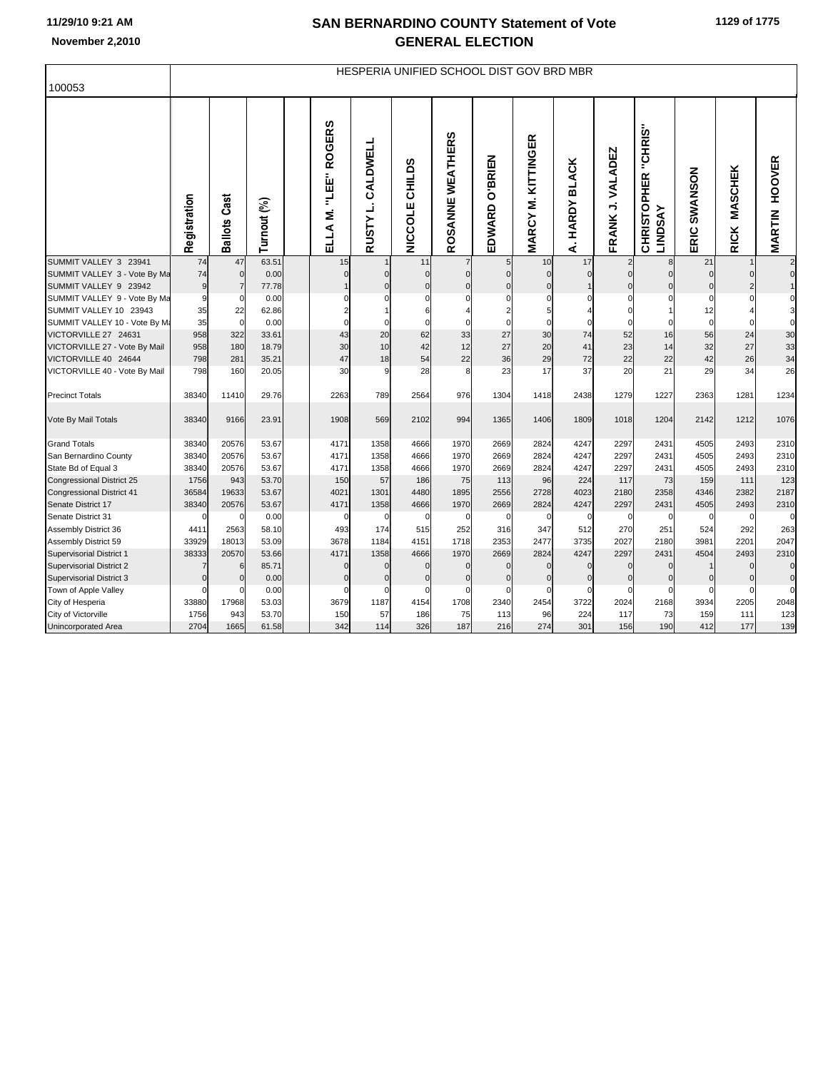|                                                        |                   |                        |               |                                                 |                            |                          |                      | HESPERIA UNIFIED SCHOOL DIST GOV BRD MBR |                           |                                   |                         |                                                 |                 |                               |                                |
|--------------------------------------------------------|-------------------|------------------------|---------------|-------------------------------------------------|----------------------------|--------------------------|----------------------|------------------------------------------|---------------------------|-----------------------------------|-------------------------|-------------------------------------------------|-----------------|-------------------------------|--------------------------------|
| 100053                                                 |                   |                        |               |                                                 |                            |                          |                      |                                          |                           |                                   |                         |                                                 |                 |                               |                                |
|                                                        | Registration      | Cast<br><b>Ballots</b> | Turnout (%)   | <b>ROGERS</b><br>֖֘֕׆֖֖֦֖֦֖֬<br>׆֢֦֘<br>ELLA M. | CALDWELL<br><b>RUSTYL.</b> | CHILDS<br><b>NICCOLE</b> | n<br>ROSANNE WEATHER | O'BRIEN<br>EDWARD                        | <b>MARCY M. KITTINGER</b> | <b>BLACK</b><br><b>HARDY</b><br>خ | FRANK J. VALADEZ        | "CHRIS"<br><b>CHRISTOPHER</b><br><b>LINDSAY</b> | SWANSON<br>ERIC | <b>MASCHEK</b><br><b>RICK</b> | <b>HOOVER</b><br><b>MARTIN</b> |
| SUMMIT VALLEY 3 23941                                  | 74                | 47                     | 63.51         | 15                                              |                            | 11                       | $\overline{7}$       | 5                                        | 10                        | 17                                | $\overline{2}$          | 8                                               | 21              |                               | $\overline{c}$                 |
| SUMMIT VALLEY 3 - Vote By Ma                           | 74                | $\mathbf 0$            | 0.00          | $\mathbf 0$                                     | $\mathbf 0$                | $\mathbf 0$              | $\mathbf 0$          | $\Omega$                                 | $\mathbf 0$               | $\mathbf 0$                       | $\overline{0}$          | $\Omega$                                        | $\mathbf 0$     | $\overline{0}$                | $\mathbf 0$                    |
| SUMMIT VALLEY 9 23942                                  | $\boldsymbol{9}$  |                        | 77.78         |                                                 | $\Omega$                   | $\Omega$                 | $\mathbf 0$          | $\Omega$                                 | $\Omega$                  |                                   | $\overline{0}$          | $\Omega$                                        | $\Omega$        | $\overline{2}$                |                                |
| SUMMIT VALLEY 9 - Vote By Ma<br>SUMMIT VALLEY 10 23943 | 9                 | 0                      | 0.00          | $\Omega$<br>$\overline{2}$                      | $\Omega$<br>$\overline{1}$ | $\Omega$<br>6            | $\Omega$<br>4        | $\Omega$<br>$\overline{2}$               | $\Omega$<br>5             | $\Omega$                          | $\mathbf 0$<br>$\Omega$ | $\Omega$                                        | $\Omega$        | $\Omega$                      | 0<br>3                         |
| SUMMIT VALLEY 10 - Vote By M:                          | 35<br>35          | 22<br>$\Omega$         | 62.86<br>0.00 | $\mathbf 0$                                     | $\Omega$                   | $\Omega$                 | $\Omega$             |                                          | $\Omega$                  | $\Omega$                          |                         | $\Omega$                                        | 12<br>$\Omega$  | $\Omega$                      | 0                              |
| VICTORVILLE 27 24631                                   | 958               | 322                    | 33.61         | 43                                              | 20                         | 62                       | 33                   | 27                                       | 30                        | 74                                | 52                      | 16                                              | 56              | 24                            | 30                             |
| VICTORVILLE 27 - Vote By Mail                          | 958               | 180                    | 18.79         | 30                                              | 10                         | 42                       | 12                   | 27                                       | 20                        | 41                                | 23                      | 14                                              | 32              | 27                            | 33                             |
| VICTORVILLE 40 24644                                   | 798               | 281                    | 35.21         | 47                                              | 18                         | 54                       | 22                   | 36                                       | 29                        | 72                                | 22                      | 22                                              | 42              | 26                            | 34                             |
| VICTORVILLE 40 - Vote By Mail                          | 798               | 160                    | 20.05         | 30                                              | 9                          | 28                       | 8                    | 23                                       | 17                        | 37                                | 20                      | 21                                              | 29              | 34                            | 26                             |
| <b>Precinct Totals</b>                                 | 38340             | 11410                  | 29.76         | 2263                                            | 789                        | 2564                     | 976                  | 1304                                     | 1418                      | 2438                              | 1279                    | 1227                                            | 2363            | 1281                          | 1234                           |
|                                                        |                   |                        |               |                                                 |                            |                          |                      |                                          |                           |                                   |                         |                                                 |                 |                               |                                |
| Vote By Mail Totals                                    | 38340             | 9166                   | 23.91         | 1908                                            | 569                        | 2102                     | 994                  | 1365                                     | 1406                      | 1809                              | 1018                    | 1204                                            | 2142            | 1212                          | 1076                           |
| <b>Grand Totals</b>                                    | 38340             | 20576                  | 53.67         | 4171                                            | 1358                       | 4666                     | 1970                 | 2669                                     | 2824                      | 4247                              | 2297                    | 2431                                            | 4505            | 2493                          | 2310                           |
| San Bernardino County                                  | 38340             | 20576                  | 53.67         | 4171                                            | 1358                       | 4666                     | 1970                 | 2669                                     | 2824                      | 4247                              | 2297                    | 2431                                            | 4505            | 2493                          | 2310                           |
| State Bd of Equal 3                                    | 38340             | 20576                  | 53.67         | 4171                                            | 1358                       | 4666                     | 1970                 | 2669                                     | 2824                      | 4247                              | 2297                    | 2431                                            | 4505            | 2493                          | 2310                           |
| Congressional District 25                              | 1756              | 943                    | 53.70         | 150                                             | 57                         | 186                      | 75                   | 113                                      | 96                        | 224                               | 117                     | 73                                              | 159             | 111                           | 123                            |
| <b>Congressional District 41</b>                       | 36584             | 19633                  | 53.67         | 4021                                            | 1301                       | 4480                     | 1895                 | 2556                                     | 2728                      | 4023                              | 2180                    | 2358                                            | 4346            | 2382                          | 2187                           |
| Senate District 17                                     | 38340             | 20576                  | 53.67         | 4171                                            | 1358                       | 4666                     | 1970                 | 2669                                     | 2824                      | 4247                              | 2297                    | 2431                                            | 4505            | 2493                          | 2310                           |
| Senate District 31                                     | $\Omega$          | $\Omega$               | 0.00          | $\Omega$                                        | $\mathcal{C}$              | $\Omega$                 | $\Omega$             | $\mathcal{C}$                            | $\mathbf 0$               | $\Omega$                          | $\mathbf 0$             | $\Omega$                                        | 0               | $\mathbf 0$                   | $\mathbf 0$                    |
| Assembly District 36                                   | 4411              | 2563                   | 58.10         | 493                                             | 174                        | 515                      | 252                  | 316                                      | 347                       | 512                               | 270                     | 251                                             | 524             | 292                           | 263                            |
| Assembly District 59                                   | 33929             | 18013                  | 53.09         | 3678                                            | 1184                       | 4151                     | 1718                 | 2353                                     | 2477                      | 3735                              | 2027                    | 2180                                            | 3981            | 2201                          | 2047                           |
| Supervisorial District 1                               | 38333             | 20570                  | 53.66         | 4171                                            | 1358                       | 4666                     | 1970                 | 2669                                     | 2824                      | 4247                              | 2297                    | 2431                                            | 4504            | 2493                          | 2310                           |
| <b>Supervisorial District 2</b>                        | 7                 | 6                      | 85.71         | $\mathbf 0$                                     | $\mathbf 0$                | $\Omega$                 | $\mathbf 0$          | $\mathbf 0$                              | $\mathbf 0$               | $\mathbf{0}$                      | $\mathbf{0}$            | $\mathbf{0}$                                    |                 | $\mathbf 0$                   | $\bf 0$                        |
| Supervisorial District 3                               | $\mathbf 0$       | $\mathbf{0}$           | 0.00          | $\mathbf 0$<br>$\Omega$                         | $\mathbf 0$                | $\mathbf 0$              | $\mathbf 0$          | $\mathbf 0$                              | $\mathbf 0$<br>$\Omega$   | $\mathbf 0$                       | $\mathbf 0$             | $\mathbf 0$                                     | $\Omega$        | $\mathbf 0$                   | $\mathbf 0$                    |
| Town of Apple Valley                                   | $\Omega$<br>33880 | n<br>17968             | 0.00<br>53.03 | 3679                                            | $\mathsf{C}$<br>1187       | $\Omega$<br>4154         | $\Omega$<br>1708     | $\mathcal{C}$<br>2340                    | 2454                      | $\Omega$<br>3722                  | $\Omega$<br>2024        | $\Omega$<br>2168                                | 3934            | $\Omega$<br>2205              | $\mathbf 0$                    |
| City of Hesperia<br>City of Victorville                | 1756              | 943                    | 53.70         | 150                                             | 57                         | 186                      | 75                   | 113                                      | 96                        | 224                               | 117                     | 73                                              | 159             | 111                           | 2048<br>123                    |
| <b>Unincorporated Area</b>                             | 2704              | 1665                   | 61.58         | 342                                             | 114                        | 326                      | 187                  | 216                                      | 274                       | 301                               | 156                     | 190                                             | 412             | 177                           | 139                            |
|                                                        |                   |                        |               |                                                 |                            |                          |                      |                                          |                           |                                   |                         |                                                 |                 |                               |                                |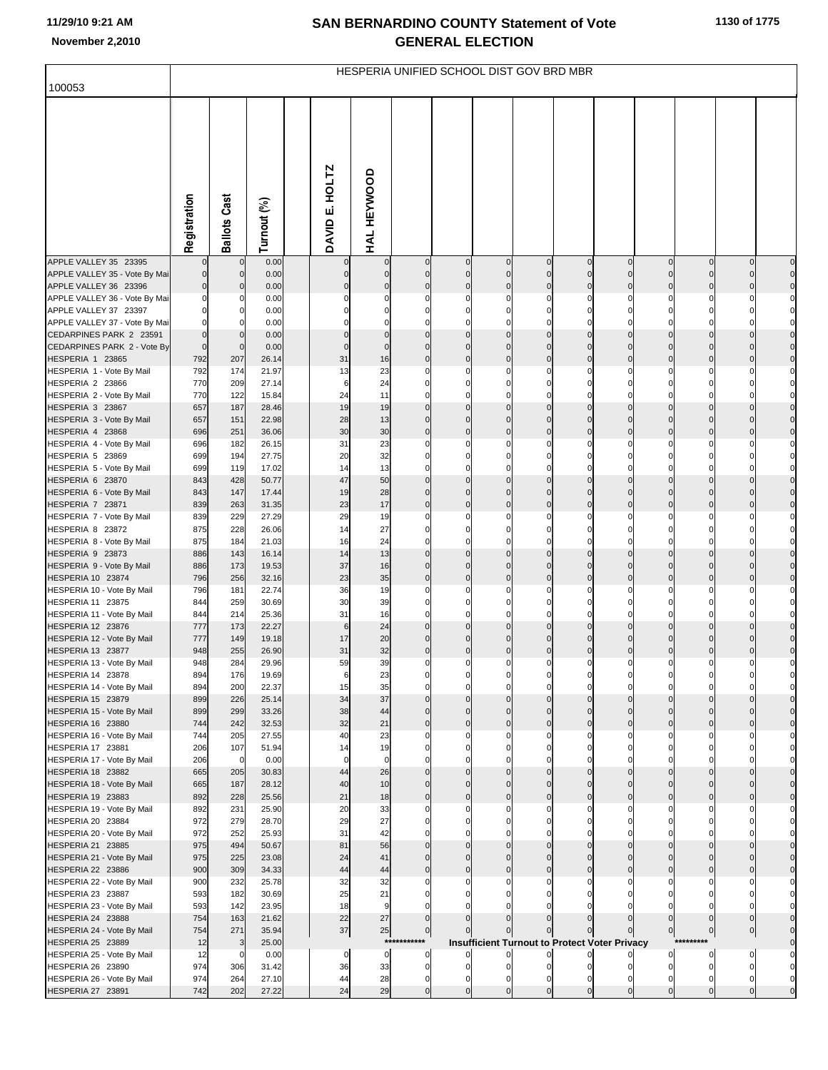| 100053                                                 |                            |                                |                |                              |                            |                            |                            |                            | HESPERIA UNIFIED SCHOOL DIST GOV BRD MBR             |                            |                            |                            |                                  |                             |                                  |
|--------------------------------------------------------|----------------------------|--------------------------------|----------------|------------------------------|----------------------------|----------------------------|----------------------------|----------------------------|------------------------------------------------------|----------------------------|----------------------------|----------------------------|----------------------------------|-----------------------------|----------------------------------|
|                                                        |                            |                                |                |                              |                            |                            |                            |                            |                                                      |                            |                            |                            |                                  |                             |                                  |
|                                                        | Registration               | <b>Ballots Cast</b>            | Turnout (%)    | HOLTZ<br>DAVID <sub>E.</sub> | HAL HEYWOOD                |                            |                            |                            |                                                      |                            |                            |                            |                                  |                             |                                  |
| APPLE VALLEY 35 23395                                  |                            | $\mathbf{0}$<br>$\overline{0}$ | 0.00           | $\mathbf 0$                  | $\mathbf 0$<br>$\mathbf 0$ | $\mathbf 0$<br>$\mathbf 0$ | $\mathbf 0$<br>$\mathbf 0$ | $\mathbf 0$<br>$\mathbf 0$ | $\mathbf 0$<br>$\mathbf 0$                           | $\mathbf 0$<br>$\mathbf 0$ | $\mathbf 0$<br>$\mathbf 0$ | $\circ$<br>$\overline{0}$  | $\overline{0}$<br>$\overline{0}$ | $\overline{0}$<br>0         | $\overline{0}$<br>$\overline{0}$ |
| APPLE VALLEY 35 - Vote By Mai<br>APPLE VALLEY 36 23396 | $\mathbf 0$<br>$\mathbf 0$ | $\overline{0}$                 | 0.00<br>0.00   | $\mathbf 0$                  | $\mathbf 0$                | $\mathbf 0$                | $\mathbf 0$                | $\mathbf 0$                | $\mathbf 0$                                          | $\Omega$                   | $\mathbf 0$                | $\mathbf 0$                | $\overline{0}$                   | $\mathbf 0$                 | $\overline{0}$                   |
| APPLE VALLEY 36 - Vote By Mai                          | $\mathbf 0$                | 0                              | 0.00           | $\Omega$                     |                            | $\Omega$                   | 0                          | 0                          | $\Omega$                                             | O                          | 0                          | $\Omega$                   | $\Omega$                         |                             | $\overline{0}$                   |
| APPLE VALLEY 37 23397                                  | $\mathbf 0$                | $\overline{0}$                 | 0.00           | 0                            | 0                          | 0                          | 0                          | 0                          | $\Omega$                                             | O                          | $\Omega$                   | $\mathbf 0$                | $\Omega$                         | $\Omega$                    | $\mathbf{0}$                     |
| APPLE VALLEY 37 - Vote By Mai                          | $\mathbf 0$                | $\mathbf 0$                    | 0.00           | $\Omega$                     | $\Omega$                   | $\Omega$                   | $\Omega$                   | $\Omega$                   | $\Omega$                                             | $\Omega$                   | $\Omega$                   | $\Omega$                   | $\Omega$                         |                             | $\overline{0}$<br>$\overline{0}$ |
| CEDARPINES PARK 2 23591<br>CEDARPINES PARK 2 - Vote By | $\bf 0$<br>$\mathbf 0$     | $\overline{0}$<br>$\mathbf 0$  | 0.00<br>0.00   | $\mathbf 0$<br>$\mathbf 0$   | $\mathbf 0$<br>$\mathbf 0$ | $\mathbf 0$<br>$\Omega$    | $\mathbf 0$<br>$\mathbf 0$ | $\mathbf 0$<br>$\mathbf 0$ | $\mathbf 0$<br>$\Omega$                              | $\mathbf 0$<br>$\Omega$    | $\mathbf 0$<br>$\Omega$    | $\overline{0}$<br>$\Omega$ | $\overline{0}$<br>$\mathbf{0}$   | $\mathbf 0$<br>$\mathbf 0$  | $\overline{0}$                   |
| HESPERIA 1 23865                                       | 792                        | 207                            | 26.14          | 31                           | 16                         | $\mathbf 0$                | $\bf 0$                    | $\mathbf 0$                | $\mathbf 0$                                          | $\mathbf 0$                | $\mathbf 0$                | $\overline{0}$             | $\overline{0}$                   | $\mathbf 0$                 | $\overline{0}$                   |
| HESPERIA 1 - Vote By Mail                              | 792                        | 174                            | 21.97          | 13                           | 23                         | $\Omega$                   | 0                          | $\Omega$                   |                                                      |                            |                            | 0                          |                                  |                             | $\overline{0}$                   |
| HESPERIA 2 23866                                       | 770                        | 209                            | 27.14          | 6                            | 24                         | $\mathbf 0$                | 0                          | 0                          | 0                                                    | 0                          | $\Omega$                   | $\Omega$                   | $\Omega$                         | 0                           | $\overline{0}$                   |
| HESPERIA 2 - Vote By Mail<br>HESPERIA 3 23867          | 770<br>657                 | 122<br>187                     | 15.84<br>28.46 | 24<br>19                     | 11<br>19                   | $\Omega$<br>$\mathbf 0$    | $\Omega$<br>$\mathbf 0$    | $\Omega$<br>$\mathbf 0$    | $\mathbf 0$                                          | $\mathbf 0$                | $\mathbf 0$                | $\Omega$<br>$\overline{0}$ | $\overline{0}$                   | 0l                          | $\overline{0}$<br>$\overline{0}$ |
| HESPERIA 3 - Vote By Mail                              | 657                        | 151                            | 22.98          | 28                           | 13                         | $\overline{0}$             | $\mathbf 0$                | $\mathbf 0$                | $\Omega$                                             | $\Omega$                   | $\Omega$                   | $\Omega$                   | $\mathbf{0}$                     | $\mathbf 0$                 | $\overline{0}$                   |
| HESPERIA 4 23868                                       | 696                        | 251                            | 36.06          | 30                           | 30                         | $\mathbf 0$                | $\mathbf 0$                | $\mathbf 0$                | $\overline{0}$                                       | $\Omega$                   | $\mathbf 0$                | $\mathbf 0$                | $\overline{0}$                   | $\mathbf 0$                 | $\circ$                          |
| HESPERIA 4 - Vote By Mail                              | 696                        | 182                            | 26.15          | 31                           | 23                         | 0                          | 0                          | 0                          | $\Omega$                                             |                            |                            | 0                          |                                  |                             | $\overline{0}$                   |
| HESPERIA 5 23869                                       | 699<br>699                 | 194<br>119                     | 27.75<br>17.02 | 20<br>14                     | 32<br>13                   | 0<br>$\Omega$              | 0<br>$\mathbf 0$           | 0<br>0                     | 0<br>$\Omega$                                        | $\Omega$                   | 0<br>$\Omega$              | $\Omega$<br>$\Omega$       | 0<br>$\Omega$                    |                             | $\mathbf{0}$<br>$\mathbf{0}$     |
| HESPERIA 5 - Vote By Mail<br>HESPERIA 6 23870          | 843                        | 428                            | 50.77          | 47                           | 50                         | $\mathbf 0$                | $\mathbf 0$                | $\mathbf 0$                | $\mathbf 0$                                          | $\Omega$                   | $\mathbf 0$                | $\overline{0}$             | $\overline{0}$                   | 0                           | $\overline{0}$                   |
| HESPERIA 6 - Vote By Mail                              | 843                        | 147                            | 17.44          | 19                           | 28                         | 0                          | $\mathbf 0$                | $\mathbf 0$                | 0                                                    | $\Omega$                   | $\Omega$                   | $\Omega$                   | $\overline{0}$                   | $\mathbf 0$                 | $\overline{0}$                   |
| HESPERIA 7 23871                                       | 839                        | 263                            | 31.35          | 23                           | 17                         | $\mathbf 0$                | $\mathbf 0$                | $\mathbf 0$                | $\mathbf 0$                                          | $\mathbf 0$                | $\mathbf 0$                | $\overline{0}$             | $\overline{0}$                   | $\mathbf 0$                 | $\circ$                          |
| HESPERIA 7 - Vote By Mail<br>HESPERIA 8 23872          | 839<br>875                 | 229<br>228                     | 27.29<br>26.06 | 29<br>14                     | 19<br>27                   | 0                          | $\Omega$<br>0              | $\Omega$<br>0              | 0                                                    | 0                          | $\Omega$                   | $\Omega$                   | $\Omega$                         | 0                           | $\overline{0}$<br>$\overline{0}$ |
| HESPERIA 8 - Vote By Mail                              | 875                        | 184                            | 21.03          | 16                           | 24                         | $\Omega$                   | $\Omega$                   | $\Omega$                   | 0                                                    |                            |                            | $\Omega$                   |                                  |                             | $\overline{0}$                   |
| HESPERIA 9 23873                                       | 886                        | 143                            | 16.14          | 14                           | 13                         | $\mathbf 0$                | $\mathbf 0$                | $\mathbf 0$                | $\mathbf 0$                                          | $\mathbf 0$                | $\mathbf 0$                | $\overline{0}$             | $\overline{0}$                   | 0                           | $\overline{0}$                   |
| HESPERIA 9 - Vote By Mail                              | 886                        | 173                            | 19.53          | 37                           | 16                         | $\Omega$                   | $\mathbf 0$                | $\mathbf 0$                | $\Omega$                                             | $\Omega$                   | $\Omega$                   | $\Omega$                   | $\mathbf{0}$                     | $\mathbf 0$                 | $\overline{0}$                   |
| HESPERIA 10 23874<br>HESPERIA 10 - Vote By Mail        | 796<br>796                 | 256<br>181                     | 32.16<br>22.74 | 23<br>36                     | 35<br>19                   | $\mathbf 0$<br>0           | $\mathbf 0$<br>0           | $\mathbf 0$<br>0           | $\overline{0}$<br>0                                  | $\Omega$                   | $\mathbf 0$                | $\mathbf 0$<br>0           | $\overline{0}$                   | $\mathbf 0$                 | $\overline{0}$<br>$\overline{0}$ |
| HESPERIA 11 23875                                      | 844                        | 259                            | 30.69          | 30                           | 39                         | 0                          | 0                          | 0                          |                                                      |                            |                            | 0                          |                                  |                             | $\overline{0}$                   |
| HESPERIA 11 - Vote By Mail                             | 844                        | 214                            | 25.36          | 31                           | 16                         | $\Omega$                   | $\Omega$                   | $\Omega$                   | $\Omega$                                             | $\Omega$                   | $\Omega$                   | $\Omega$                   | $\Omega$                         |                             | $\mathbf{0}$                     |
| HESPERIA 12 23876                                      | 777                        | 173                            | 22.27          | 6                            | 24                         | $\mathbf 0$                | $\mathbf 0$                | $\mathbf 0$                | $\mathbf 0$                                          | $\Omega$                   | $\mathbf{0}$               | $\overline{0}$             | $\overline{0}$                   | $\mathbf 0$                 | $\circ$                          |
| HESPERIA 12 - Vote By Mail<br>HESPERIA 13 23877        | 777<br>948                 | 149<br>255                     | 19.18<br>26.90 | 17<br>31                     | 20<br>32                   | $\mathbf 0$<br>$\mathbf 0$ | $\mathbf 0$<br>$\mathbf 0$ | $\mathbf 0$<br>$\mathbf 0$ | $\Omega$<br>$\mathbf 0$                              | $\Omega$<br>$\Omega$       | $\Omega$<br>$\mathbf 0$    | $\Omega$<br>$\mathbf 0$    | $\overline{0}$<br>$\overline{0}$ | $\mathbf 0$                 | $\overline{0}$<br>$\overline{0}$ |
| HESPERIA 13 - Vote By Mail                             | 948                        | 284                            | 29.96          | 59                           | 39                         | $\Omega$                   | $\Omega$                   | $\Omega$                   |                                                      |                            |                            |                            |                                  |                             | $\overline{0}$                   |
| HESPERIA 14 23878                                      | 894                        | 176                            | 19.69          |                              | 23                         |                            |                            |                            |                                                      |                            |                            |                            |                                  |                             |                                  |
| HESPERIA 14 - Vote By Mail                             | 894                        | 200                            | 22.37          | 15                           | 35                         | 0                          | 0                          | 0                          | C                                                    |                            | O                          | $\Omega$                   | 0                                |                             | 0                                |
| HESPERIA 15 23879<br>HESPERIA 15 - Vote By Mail        | 899<br>899                 | 226<br>299                     | 25.14<br>33.26 | 34<br>38                     | 37<br>44                   | $\Omega$<br>$\Omega$       | $\mathbf 0$<br>$\Omega$    | $\Omega$<br>$\Omega$       | $\mathbf 0$                                          | $\Omega$                   | $\mathbf{0}$               | $\Omega$<br>$\Omega$       | $\Omega$<br>$\Omega$             | $\mathbf 0$<br>$\mathbf{0}$ | $\overline{0}$<br>$\overline{0}$ |
| HESPERIA 16 23880                                      | 744                        | 242                            | 32.53          | 32                           | 21                         | $\Omega$                   | $\mathbf 0$                | $\mathbf 0$                | $\Omega$                                             | $\sqrt{ }$                 | $\Omega$                   | $\mathbf{0}$               | $\overline{0}$                   | $\mathbf{0}$                | $\overline{0}$                   |
| HESPERIA 16 - Vote By Mail                             | 744                        | 205                            | 27.55          | 40                           | 23                         |                            | $\Omega$                   |                            |                                                      |                            |                            |                            |                                  |                             | 0                                |
| HESPERIA 17 23881                                      | 206                        | 107                            | 51.94          | 14                           | 19                         | 0                          | 0                          |                            |                                                      |                            |                            |                            |                                  |                             | $\overline{0}$                   |
| HESPERIA 17 - Vote By Mail<br>HESPERIA 18 23882        | 206<br>665                 | $\overline{0}$<br>205          | 0.00<br>30.83  | $\mathbf 0$<br>44            | $\mathbf 0$<br>26          | $\Omega$                   | $\mathbf 0$                | $\Omega$                   |                                                      |                            |                            | $\Omega$                   |                                  |                             | $\overline{0}$<br>$\overline{0}$ |
| HESPERIA 18 - Vote By Mail                             | 665                        | 187                            | 28.12          | 40                           | 10                         | $\Omega$                   | $\Omega$                   | $\Omega$                   |                                                      |                            | $\Omega$                   | $\Omega$                   |                                  |                             | $\overline{0}$                   |
| HESPERIA 19 23883                                      | 892                        | 228                            | 25.56          | 21                           | 18                         | $\Omega$                   | $\mathbf 0$                | $\Omega$                   | C                                                    |                            | $\Omega$                   | $\Omega$                   | $\Omega$                         | $\mathbf{0}$                | $\overline{0}$                   |
| HESPERIA 19 - Vote By Mail                             | 892                        | 231                            | 25.90          | 20                           | 33                         |                            | $\Omega$                   |                            |                                                      |                            |                            |                            |                                  |                             | $\overline{0}$                   |
| HESPERIA 20 23884<br>HESPERIA 20 - Vote By Mail        | 972<br>972                 | 279<br>252                     | 28.70<br>25.93 | 29<br>31                     | 27<br>42                   |                            | $\Omega$<br>C              | 0                          |                                                      |                            |                            |                            |                                  |                             | $\overline{0}$<br>$\overline{0}$ |
| HESPERIA 21 23885                                      | 975                        | 494                            | 50.67          | 81                           | 56                         | $\Omega$                   | $\Omega$                   | $\Omega$                   |                                                      |                            |                            | $\Omega$                   |                                  |                             | $\overline{0}$                   |
| HESPERIA 21 - Vote By Mail                             | 975                        | 225                            | 23.08          | 24                           | 41                         |                            | $\Omega$                   |                            |                                                      |                            |                            |                            |                                  |                             | $\overline{0}$                   |
| HESPERIA 22 23886                                      | 900                        | 309                            | 34.33          | 44                           | 44                         | $\Omega$                   | $\mathbf 0$                | $\Omega$                   | $\Omega$                                             |                            | $\Omega$                   | $\Omega$                   | $\Omega$                         | $\mathbf 0$                 | $\overline{0}$                   |
| HESPERIA 22 - Vote By Mail<br>HESPERIA 23 23887        | 900<br>593                 | 232<br>182                     | 25.78<br>30.69 | 32<br>25                     | 32<br>21                   |                            |                            |                            |                                                      |                            |                            |                            |                                  |                             | $\overline{0}$<br>$\overline{0}$ |
| HESPERIA 23 - Vote By Mail                             | 593                        | 142                            | 23.95          | 18                           | 9                          |                            |                            |                            |                                                      |                            |                            |                            |                                  |                             | $\overline{0}$                   |
| HESPERIA 24 23888                                      | 754                        | 163                            | 21.62          | 22                           | 27                         | $\Omega$                   |                            |                            |                                                      |                            |                            | $\Omega$                   | $\overline{0}$                   | 0l                          | $\overline{0}$                   |
| HESPERIA 24 - Vote By Mail                             | 754                        | 271                            | 35.94          | 37                           | 25                         | $\overline{0}$             |                            | $\mathbf 0$                | $\mathbf 0$                                          | $\Omega$                   | $\Omega$                   | $\overline{0}$             | 0                                | 이                           | $\overline{0}$                   |
| HESPERIA 25 23889<br>HESPERIA 25 - Vote By Mail        | 12<br>12                   | 3<br>0                         | 25.00<br>0.00  | $\mathbf 0$                  | $\mathbf 0$                | ***********<br>$\Omega$    |                            |                            | <b>Insufficient Turnout to Protect Voter Privacy</b> |                            |                            |                            | 0                                | $\Omega$                    | $\circ$<br>$\overline{0}$        |
| HESPERIA 26 23890                                      | 974                        | 306                            | 31.42          | 36                           | 33                         | 0                          | 0                          | 0                          |                                                      |                            |                            | 0                          | 0                                | 0                           | $\mathbf{0}$                     |
| HESPERIA 26 - Vote By Mail                             | 974                        | 264                            | 27.10          | 44                           | 28                         | $\mathbf 0$                | 0                          | 0                          | $\mathbf 0$                                          | 0                          | $\Omega$                   | 0                          | 0                                | 0                           | $\overline{0}$                   |
| HESPERIA 27 23891                                      | 742                        | 202                            | 27.22          | 24                           | 29                         | $\mathbf 0$                | $\mathbf 0$                | $\mathbf 0$                | $\mathbf{0}$                                         | $\mathbf 0$                | $\mathbf 0$                | $\Omega$                   | $\Omega$                         | $\mathbf 0$                 |                                  |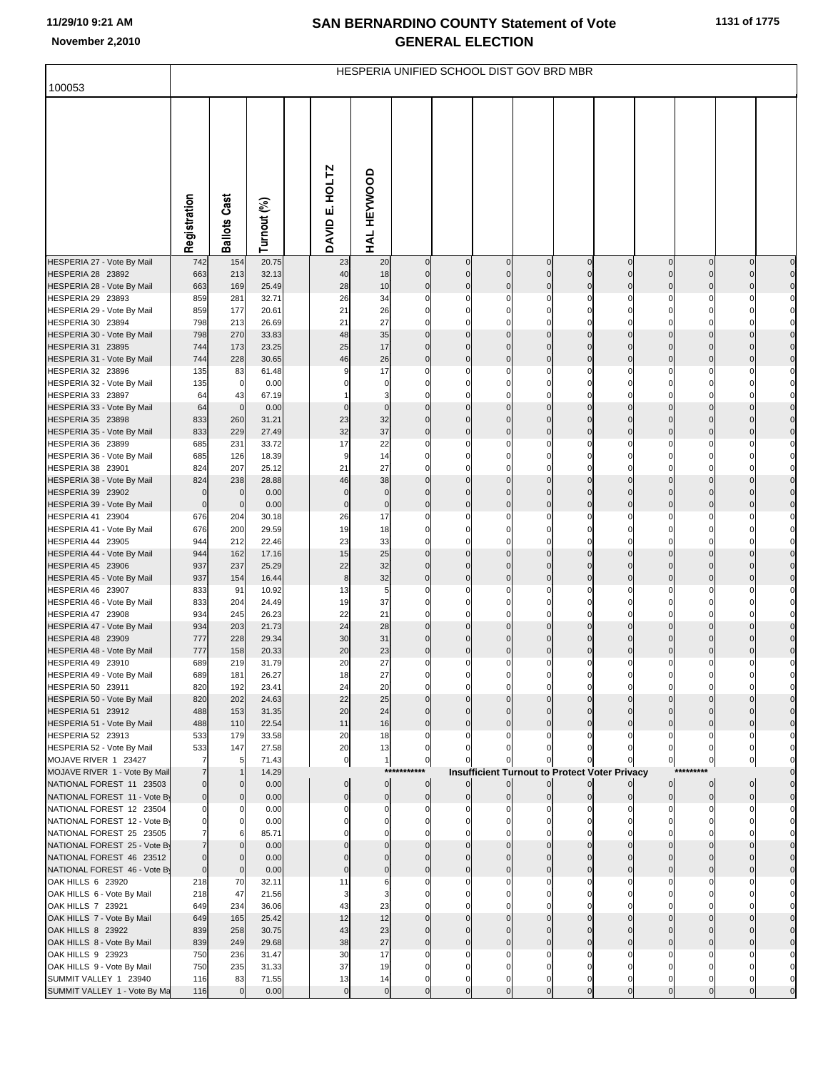| 100053                                                   |              |                        |                |                             | HESPERIA UNIFIED SCHOOL DIST GOV BRD MBR |                  |                            |                         |               |               |                                                      |                         |                            |                         |                                  |
|----------------------------------------------------------|--------------|------------------------|----------------|-----------------------------|------------------------------------------|------------------|----------------------------|-------------------------|---------------|---------------|------------------------------------------------------|-------------------------|----------------------------|-------------------------|----------------------------------|
|                                                          |              |                        |                |                             |                                          |                  |                            |                         |               |               |                                                      |                         |                            |                         |                                  |
|                                                          | Registration | Cast<br><b>Ballots</b> | Turnout (%)    | HOLTZ<br>шi<br><b>DAVID</b> | HAL HEYWOOD                              |                  |                            |                         |               |               |                                                      |                         |                            |                         |                                  |
| HESPERIA 27 - Vote By Mail                               | 742          | 154                    | 20.75          | 23                          | 20                                       | $\mathbf 0$      | $\mathbf 0$                | $\mathbf 0$             | $\mathbf 0$   | $\mathbf 0$   | $\mathbf{0}$                                         | $\mathbf{0}$            | $\overline{0}$             | $\mathbf 0$             | $\overline{0}$                   |
| HESPERIA 28 23892<br>HESPERIA 28 - Vote By Mail          | 663<br>663   | 213<br>169             | 32.13<br>25.49 | 40<br>28                    | 18<br>10                                 | $\mathbf 0$<br>0 | $\mathbf 0$<br>$\mathbf 0$ | $\mathbf 0$<br>$\Omega$ | $\Omega$<br>C | $\Omega$<br>C | $\Omega$<br>$\Omega$                                 | $\mathbf 0$<br>$\Omega$ | $\overline{0}$<br>$\Omega$ | $\mathbf 0$<br>$\Omega$ | $\overline{0}$<br>$\overline{0}$ |
| HESPERIA 29 23893                                        | 859          | 281                    | 32.71          | 26                          | 34                                       | 0                | 0                          | $\Omega$                | 0             | C             | C                                                    | $\Omega$                |                            |                         |                                  |
| HESPERIA 29 - Vote By Mail                               | 859          | 177                    | 20.61          | 21                          | 26                                       | $\Omega$         | $\mathbf 0$                | 0                       |               |               |                                                      |                         |                            |                         | $\mathbf{0}$                     |
| HESPERIA 30 23894                                        | 798          | 213                    | 26.69          | 21                          | 27                                       | $\Omega$         | $\Omega$                   | $\Omega$                |               |               |                                                      |                         |                            |                         |                                  |
| HESPERIA 30 - Vote By Mail                               | 798          | 270                    | 33.83          | 48                          | 35                                       | $\mathbf 0$      | $\mathbf 0$                | $\Omega$                | $\Omega$      | $\Omega$      | $\Omega$                                             | $\Omega$                | $\Omega$                   |                         | $\overline{0}$                   |
| HESPERIA 31 23895                                        | 744          | 173                    | 23.25          | 25                          | 17                                       | $\Omega$         | $\Omega$                   | $\Omega$                | C             | C             |                                                      |                         |                            |                         | $\overline{0}$                   |
| HESPERIA 31 - Vote By Mail<br>HESPERIA 32 23896          | 744<br>135   | 228<br>83              | 30.65<br>61.48 | 46<br>9                     | 26<br>17                                 | 0                | $\mathbf 0$<br>0           | $\mathbf 0$<br>0        | $\Omega$<br>C | C             | $\Omega$                                             | $\Omega$                | $\Omega$                   | $\Omega$                | $\overline{0}$                   |
| HESPERIA 32 - Vote By Mail                               | 135          | $\mathbf 0$            | 0.00           |                             | 0                                        | 0                | 0                          | 0                       |               |               |                                                      |                         |                            |                         | $\mathbf{0}$                     |
| HESPERIA 33 23897                                        | 64           | 43                     | 67.19          |                             | Э                                        |                  | $\Omega$                   | 0                       |               |               |                                                      |                         |                            |                         |                                  |
| HESPERIA 33 - Vote By Mail                               | 64           | $\mathbf 0$            | 0.00           | $\Omega$                    | $\mathbf 0$                              | 0                | $\mathbf 0$                | $\Omega$                | $\Omega$      | $\Omega$      | $\Omega$                                             | $\Omega$                | $\Omega$                   |                         | $\overline{0}$                   |
| HESPERIA 35 23898                                        | 833          | 260                    | 31.21          | 23                          | 32                                       | $\Omega$         | $\Omega$                   | $\Omega$                | C             | C             | $\Omega$                                             |                         |                            |                         | $\overline{0}$                   |
| HESPERIA 35 - Vote By Mail<br>HESPERIA 36 23899          | 833<br>685   | 229<br>231             | 27.49<br>33.72 | 32<br>17                    | 37<br>22                                 | 0<br>0           | 0<br>$\Omega$              | $\Omega$<br>0           | C<br>C        | C             | $\Omega$                                             | $\Omega$<br>O           | $\Omega$                   |                         | $\overline{0}$                   |
| HESPERIA 36 - Vote By Mail                               | 685          | 126                    | 18.39          | 9                           | 14                                       | 0                | $\Omega$                   | 0                       |               |               |                                                      |                         |                            |                         | $\overline{0}$                   |
| HESPERIA 38 23901                                        | 824          | 207                    | 25.12          | 21                          | 27                                       | $\Omega$         | $\Omega$                   | $\Omega$                | C             |               |                                                      |                         |                            |                         |                                  |
| HESPERIA 38 - Vote By Mail                               | 824          | 238                    | 28.88          | 46                          | 38                                       | $\Omega$         | $\mathbf 0$                | $\Omega$                | $\Omega$      | $\Omega$      | $\Omega$                                             | $\Omega$                | $\Omega$                   |                         | $\overline{0}$                   |
| HESPERIA 39 23902                                        | O            | $\mathbf 0$            | 0.00           | $\Omega$                    | $\mathbf 0$                              |                  | $\Omega$                   | $\Omega$                | $\Omega$      | C             | $\Omega$                                             | $\Omega$                |                            |                         | $\overline{0}$                   |
| HESPERIA 39 - Vote By Mail                               | $\mathbf 0$  | $\mathbf 0$            | 0.00           | $\mathbf 0$                 | $\mathbf 0$                              | $\mathbf 0$      | $\mathbf 0$                | $\mathbf 0$             | $\Omega$      | $\mathsf{C}$  | $\Omega$                                             | $\Omega$                | $\Omega$                   | $\Omega$                | $\overline{0}$                   |
| HESPERIA 41 23904<br>HESPERIA 41 - Vote By Mail          | 676<br>676   | 204<br>200             | 30.18<br>29.59 | 26<br>19                    | 17<br>18                                 | 0                | 0<br>$\Omega$              | 0<br>0                  |               |               |                                                      |                         |                            |                         | $\overline{0}$                   |
| HESPERIA 44 23905                                        | 944          | 212                    | 22.46          | 23                          | 33                                       | $\Omega$         | $\Omega$                   | 0                       |               |               |                                                      |                         |                            |                         |                                  |
| HESPERIA 44 - Vote By Mail                               | 944          | 162                    | 17.16          | 15                          | 25                                       | $\mathbf 0$      | $\mathbf 0$                | $\Omega$                | $\Omega$      | $\Omega$      | $\Omega$                                             | $\Omega$                | $\Omega$                   |                         | $\overline{0}$                   |
| HESPERIA 45 23906                                        | 937          | 237                    | 25.29          | 22                          | 32                                       | $\Omega$         | $\Omega$                   | $\Omega$                | C             | $\sqrt{ }$    |                                                      |                         |                            |                         | $\overline{0}$                   |
| HESPERIA 45 - Vote By Mail                               | 937          | 154                    | 16.44          | 8                           | 32                                       | $\mathbf 0$      | $\mathbf 0$                | $\Omega$                | C             | C             | $\Omega$                                             | $\Omega$                | $\Omega$                   |                         | $\overline{0}$                   |
| HESPERIA 46 23907<br>HESPERIA 46 - Vote By Mail          | 833<br>833   | 91<br>204              | 10.92<br>24.49 | 13<br>19                    | 5<br>37                                  | 0<br>0           | 0<br>$\Omega$              | 0<br>0                  | C             |               |                                                      |                         |                            |                         |                                  |
| HESPERIA 47 23908                                        | 934          | 245                    | 26.23          | 22                          | 21                                       | $\Omega$         | $\Omega$                   | $\Omega$                | C             |               |                                                      |                         |                            |                         |                                  |
| HESPERIA 47 - Vote By Mail                               | 934          | 203                    | 21.73          | 24                          | 28                                       | $\mathbf 0$      | $\mathbf 0$                | $\Omega$                | C             |               |                                                      | $\Omega$                |                            |                         | $\overline{0}$                   |
| HESPERIA 48 23909                                        | 777          | 228                    | 29.34          | 30                          | 31                                       | $\Omega$         | $\Omega$                   |                         |               |               |                                                      |                         |                            |                         | $\overline{0}$                   |
| HESPERIA 48 - Vote By Mail                               | 777          | 158                    | 20.33          | 20                          | 23                                       | 0                | $\mathbf 0$                | $\Omega$                | C             | C             | $\Omega$                                             | $\Omega$                |                            |                         |                                  |
| HESPERIA 49 23910<br>HESPERIA 49 - Vote By Mail          | 689<br>689   | 219<br>181             | 31.79<br>26.27 | 20<br>18                    | 27<br>27                                 | C                | 0                          | 0                       |               |               |                                                      |                         |                            |                         |                                  |
| HESPERIA 50 23911                                        | 820          | 192                    | 23.41          | 24                          | 20                                       |                  |                            |                         |               |               |                                                      |                         |                            |                         |                                  |
| HESPERIA 50 - Vote By Mail                               | 820          | 202                    | 24.63          | 22                          | 25                                       |                  | 0                          |                         |               |               |                                                      |                         |                            |                         |                                  |
| HESPERIA 51 23912                                        | 488          | 153                    | 31.35          | 20                          | 24                                       |                  | $\Omega$                   |                         |               |               |                                                      |                         |                            |                         |                                  |
| HESPERIA 51 - Vote By Mail                               | 488          | 110<br>179             | 22.54          | 11<br>20                    | 16<br>18                                 | $\Omega$         | $\Omega$                   |                         |               |               |                                                      |                         |                            |                         |                                  |
| HESPERIA 52 23913<br>HESPERIA 52 - Vote By Mail          | 533<br>533   | 147                    | 33.58<br>27.58 | 20                          | 13                                       |                  |                            |                         |               |               |                                                      |                         |                            |                         |                                  |
| MOJAVE RIVER 1 23427                                     | 7            | 5                      | 71.43          | $\pmb{0}$                   | $\overline{1}$                           | 0                |                            |                         |               |               |                                                      |                         |                            |                         |                                  |
| MOJAVE RIVER 1 - Vote By Mail                            |              |                        | 14.29          |                             | ***                                      |                  |                            |                         |               |               | <b>Insufficient Turnout to Protect Voter Privacy</b> |                         |                            |                         |                                  |
| NATIONAL FOREST 11 23503                                 | $\Omega$     | $\overline{0}$         | 0.00           | $\Omega$                    | $\mathbf 0$                              | $\mathbf 0$      |                            | $\Omega$                |               |               |                                                      | $\overline{0}$          | $\overline{0}$             | $\mathbf 0$             |                                  |
| NATIONAL FOREST 11 - Vote By                             | $\Omega$     | $\overline{0}$         | 0.00           | $\Omega$                    | $\mathbf 0$                              | $\mathbf 0$      | $\mathbf 0$                | $\Omega$                |               |               |                                                      | $\overline{0}$          | $\overline{0}$             |                         |                                  |
| NATIONAL FOREST 12 23504<br>NATIONAL FOREST 12 - Vote By |              | $\mathbf{0}$           | 0.00<br>0.00   |                             |                                          |                  |                            |                         |               |               |                                                      |                         |                            |                         |                                  |
| NATIONAL FOREST 25 23505                                 |              |                        | 85.71          |                             |                                          |                  |                            |                         |               |               |                                                      |                         |                            |                         |                                  |
| NATIONAL FOREST 25 - Vote By                             |              | $\mathbf{0}$           | 0.00           |                             |                                          |                  |                            |                         |               |               |                                                      |                         |                            |                         |                                  |
| NATIONAL FOREST 46 23512                                 | $\mathbf 0$  |                        | 0.00           |                             |                                          |                  |                            |                         |               |               |                                                      |                         |                            |                         |                                  |
| NATIONAL FOREST 46 - Vote By                             | $\mathbf 0$  | $\mathbf{0}$           | 0.00           |                             |                                          |                  | $\Omega$                   |                         |               |               |                                                      |                         |                            |                         |                                  |
| OAK HILLS 6 23920<br>OAK HILLS 6 - Vote By Mail          | 218<br>218   | 70<br>47               | 32.11<br>21.56 | 11<br>3                     |                                          |                  |                            |                         |               |               |                                                      |                         |                            |                         |                                  |
| OAK HILLS 7 23921                                        | 649          | 234                    | 36.06          | 43                          | 23                                       |                  |                            |                         |               |               |                                                      |                         |                            |                         |                                  |
| OAK HILLS 7 - Vote By Mail                               | 649          | 165                    | 25.42          | 12                          | 12                                       |                  |                            |                         |               |               |                                                      |                         |                            |                         |                                  |
| OAK HILLS 8 23922                                        | 839          | 258                    | 30.75          | 43                          | 23                                       |                  | $\Omega$                   |                         |               |               |                                                      |                         |                            |                         |                                  |
| OAK HILLS 8 - Vote By Mail                               | 839          | 249                    | 29.68          | 38                          | 27                                       | $\Omega$         | $\Omega$                   |                         |               |               |                                                      |                         |                            |                         |                                  |
| OAK HILLS 9 23923<br>OAK HILLS 9 - Vote By Mail          | 750<br>750   | 236<br>235             | 31.47<br>31.33 | 30<br>37                    | 17<br>19                                 |                  | 0                          |                         |               |               |                                                      |                         |                            |                         |                                  |
| SUMMIT VALLEY 1 23940                                    | 116          | 83                     | 71.55          | 13                          | 14                                       | 0                | $\Omega$                   |                         |               |               |                                                      |                         |                            |                         |                                  |
| SUMMIT VALLEY 1 - Vote By Ma                             | 116          | $\overline{0}$         | 0.00           | $\mathbf 0$                 | $\mathbf 0$                              | $\mathbf 0$      | $\mathbf 0$                | $\mathbf 0$             | $\mathbf 0$   | $\Omega$      | $\mathbf{0}$                                         | $\overline{0}$          | $\overline{0}$             |                         |                                  |